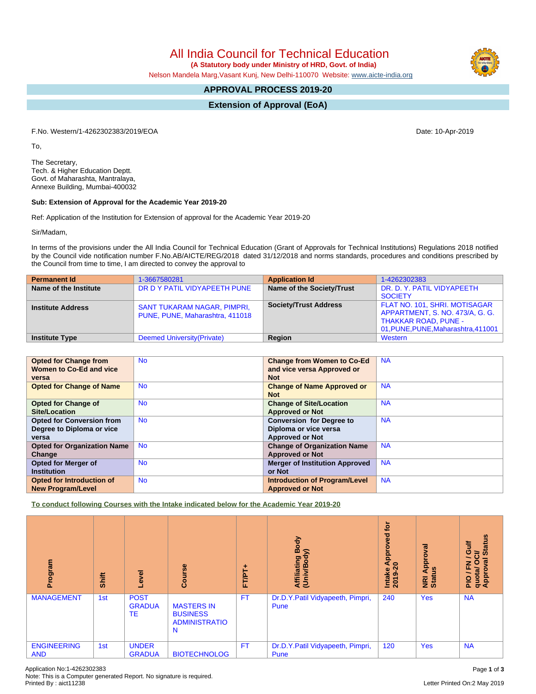All India Council for Technical Education

 **(A Statutory body under Ministry of HRD, Govt. of India)**

Nelson Mandela Marg,Vasant Kunj, New Delhi-110070 Website: [www.aicte-india.org](http://www.aicte-india.org)

## **APPROVAL PROCESS 2019-20**

**Extension of Approval (EoA)**

F.No. Western/1-4262302383/2019/EOA Date: 10-Apr-2019

To,

The Secretary, Tech. & Higher Education Deptt. Govt. of Maharashta, Mantralaya, Annexe Building, Mumbai-400032

## **Sub: Extension of Approval for the Academic Year 2019-20**

Ref: Application of the Institution for Extension of approval for the Academic Year 2019-20

Sir/Madam,

In terms of the provisions under the All India Council for Technical Education (Grant of Approvals for Technical Institutions) Regulations 2018 notified by the Council vide notification number F.No.AB/AICTE/REG/2018 dated 31/12/2018 and norms standards, procedures and conditions prescribed by the Council from time to time, I am directed to convey the approval to

| <b>Permanent Id</b>      | 1-3667580281                                                          | <b>Application Id</b>        | 1-4262302383                                                                                                                           |
|--------------------------|-----------------------------------------------------------------------|------------------------------|----------------------------------------------------------------------------------------------------------------------------------------|
| Name of the Institute    | DR D Y PATIL VIDYAPEETH PUNE                                          | Name of the Society/Trust    | DR. D. Y. PATIL VIDYAPEETH<br><b>SOCIETY</b>                                                                                           |
| <b>Institute Address</b> | <b>SANT TUKARAM NAGAR, PIMPRI,</b><br>PUNE, PUNE, Maharashtra, 411018 | <b>Society/Trust Address</b> | FLAT NO. 101, SHRI. MOTISAGAR<br>APPARTMENT, S. NO. 473/A, G. G.<br><b>THAKKAR ROAD, PUNE -</b><br>01, PUNE, PUNE, Maharashtra, 411001 |
| <b>Institute Type</b>    | Deemed University (Private)                                           | Region                       | Western                                                                                                                                |

| <b>Opted for Change from</b>       | <b>No</b> | <b>Change from Women to Co-Ed</b>     | <b>NA</b> |
|------------------------------------|-----------|---------------------------------------|-----------|
| Women to Co-Ed and vice            |           | and vice versa Approved or            |           |
| versa                              |           | <b>Not</b>                            |           |
| <b>Opted for Change of Name</b>    | <b>No</b> | <b>Change of Name Approved or</b>     | <b>NA</b> |
|                                    |           | <b>Not</b>                            |           |
| <b>Opted for Change of</b>         | <b>No</b> | <b>Change of Site/Location</b>        | <b>NA</b> |
| <b>Site/Location</b>               |           | <b>Approved or Not</b>                |           |
| <b>Opted for Conversion from</b>   | <b>No</b> | <b>Conversion for Degree to</b>       | <b>NA</b> |
| Degree to Diploma or vice          |           | Diploma or vice versa                 |           |
| versa                              |           | <b>Approved or Not</b>                |           |
| <b>Opted for Organization Name</b> | <b>No</b> | <b>Change of Organization Name</b>    | <b>NA</b> |
| Change                             |           | <b>Approved or Not</b>                |           |
| <b>Opted for Merger of</b>         | <b>No</b> | <b>Merger of Institution Approved</b> | <b>NA</b> |
| <b>Institution</b>                 |           | or Not                                |           |
| Opted for Introduction of          | <b>No</b> | <b>Introduction of Program/Level</b>  | <b>NA</b> |
| <b>New Program/Level</b>           |           | <b>Approved or Not</b>                |           |

**To conduct following Courses with the Intake indicated below for the Academic Year 2019-20**

| rogram<br>ā                      | Shift | Level                              | Course                                                            | FT/PT+    | Body<br>⋦<br>Affiliating I<br>(Univ/Body | <b>jo</b><br>Approved<br>$\circ$<br>Intake<br>2019 | Approval<br>ទី<br>NRI<br>Statu | <b>Status</b><br><b>Gulf</b><br><b>USO</b><br>$\overline{\phantom{0}}$<br>$\overline{5}$<br>o / FN<br>quota/ O<br>Approval |
|----------------------------------|-------|------------------------------------|-------------------------------------------------------------------|-----------|------------------------------------------|----------------------------------------------------|--------------------------------|----------------------------------------------------------------------------------------------------------------------------|
| <b>MANAGEMENT</b>                | 1st   | <b>POST</b><br><b>GRADUA</b><br>TE | <b>MASTERS IN</b><br><b>BUSINESS</b><br><b>ADMINISTRATIO</b><br>N | <b>FT</b> | Dr.D.Y.Patil Vidyapeeth, Pimpri,<br>Pune | 240                                                | <b>Yes</b>                     | <b>NA</b>                                                                                                                  |
| <b>ENGINEERING</b><br><b>AND</b> | 1st   | <b>UNDER</b><br><b>GRADUA</b>      | <b>BIOTECHNOLOG</b>                                               | FT.       | Dr.D.Y.Patil Vidyapeeth, Pimpri,<br>Pune | 120                                                | <b>Yes</b>                     | <b>NA</b>                                                                                                                  |

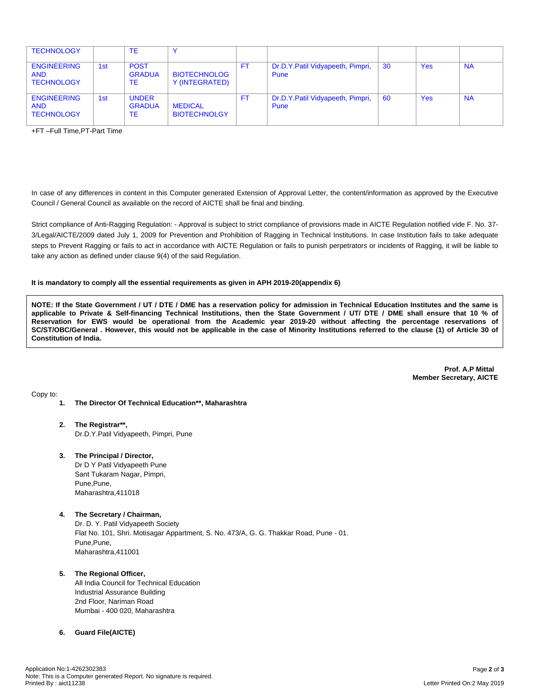| <b>TECHNOLOGY</b>                                     |     | TE                                  |                                       |     |                                          |     |            |           |
|-------------------------------------------------------|-----|-------------------------------------|---------------------------------------|-----|------------------------------------------|-----|------------|-----------|
| <b>ENGINEERING</b><br><b>AND</b><br><b>TECHNOLOGY</b> | 1st | <b>POST</b><br><b>GRADUA</b><br>TE  | <b>BIOTECHNOLOG</b><br>Y (INTEGRATED) | FT. | Dr.D.Y.Patil Vidyapeeth, Pimpri,<br>Pune | -30 | <b>Yes</b> | <b>NA</b> |
| <b>ENGINEERING</b><br><b>AND</b><br><b>TECHNOLOGY</b> | 1st | <b>UNDER</b><br><b>GRADUA</b><br>TE | <b>MEDICAL</b><br><b>BIOTECHNOLGY</b> | FT. | Dr.D.Y.Patil Vidyapeeth, Pimpri,<br>Pune | -60 | <b>Yes</b> | <b>NA</b> |

+FT –Full Time,PT-Part Time

In case of any differences in content in this Computer generated Extension of Approval Letter, the content/information as approved by the Executive Council / General Council as available on the record of AICTE shall be final and binding.

Strict compliance of Anti-Ragging Regulation: - Approval is subject to strict compliance of provisions made in AICTE Regulation notified vide F. No. 37- 3/Legal/AICTE/2009 dated July 1, 2009 for Prevention and Prohibition of Ragging in Technical Institutions. In case Institution fails to take adequate steps to Prevent Ragging or fails to act in accordance with AICTE Regulation or fails to punish perpetrators or incidents of Ragging, it will be liable to take any action as defined under clause 9(4) of the said Regulation.

## **It is mandatory to comply all the essential requirements as given in APH 2019-20(appendix 6)**

NOTE: If the State Government / UT / DTE / DME has a reservation policy for admission in Technical Education Institutes and the same is applicable to Private & Self-financing Technical Institutions, then the State Government / UT/ DTE / DME shall ensure that 10 % of Reservation for EWS would be operational from the Academic year 2019-20 without affecting the percentage reservations of SC/ST/OBC/General . However, this would not be applicable in the case of Minority Institutions referred to the clause (1) of Article 30 of **Constitution of India.**

> **Prof. A.P Mittal Member Secretary, AICTE**

Copy to:

- **1. The Director Of Technical Education\*\*, Maharashtra**
- **2. The Registrar\*\*,** Dr.D.Y.Patil Vidyapeeth, Pimpri, Pune
- **3. The Principal / Director,** Dr D Y Patil Vidyapeeth Pune Sant Tukaram Nagar, Pimpri, Pune,Pune, Maharashtra,411018
- **4. The Secretary / Chairman,** Dr. D. Y. Patil Vidyapeeth Society Flat No. 101, Shri. Motisagar Appartment, S. No. 473/A, G. G. Thakkar Road, Pune - 01. Pune,Pune, Maharashtra,411001
- **5. The Regional Officer,** All India Council for Technical Education

Industrial Assurance Building 2nd Floor, Nariman Road Mumbai - 400 020, Maharashtra

## **6. Guard File(AICTE)**